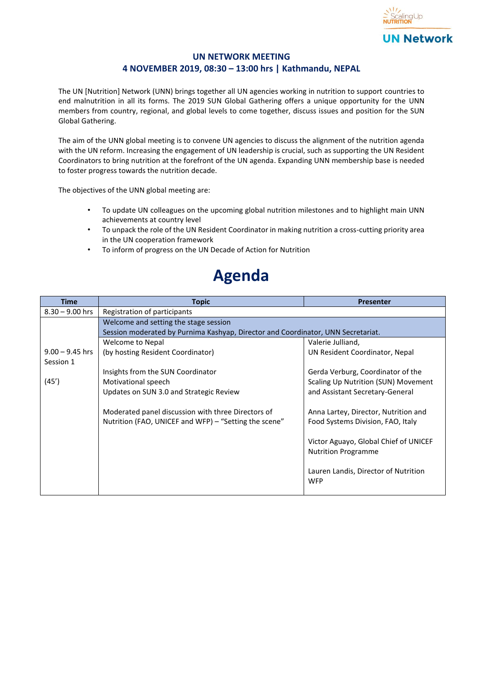

## **UN NETWORK MEETING 4 NOVEMBER 2019, 08:30 – 13:00 hrs | Kathmandu, NEPAL**

The UN [Nutrition] Network (UNN) brings together all UN agencies working in nutrition to support countries to end malnutrition in all its forms. The 2019 SUN Global Gathering offers a unique opportunity for the UNN members from country, regional, and global levels to come together, discuss issues and position for the SUN Global Gathering.

The aim of the UNN global meeting is to convene UN agencies to discuss the alignment of the nutrition agenda with the UN reform. Increasing the engagement of UN leadership is crucial, such as supporting the UN Resident Coordinators to bring nutrition at the forefront of the UN agenda. Expanding UNN membership base is needed to foster progress towards the nutrition decade.

The objectives of the UNN global meeting are:

- To update UN colleagues on the upcoming global nutrition milestones and to highlight main UNN achievements at country level
- To unpack the role of the UN Resident Coordinator in making nutrition a cross-cutting priority area in the UN cooperation framework
- To inform of progress on the UN Decade of Action for Nutrition

## **Agenda**

| <b>Time</b>       | <b>Topic</b>                                                                     | <b>Presenter</b>                      |  |
|-------------------|----------------------------------------------------------------------------------|---------------------------------------|--|
| $8.30 - 9.00$ hrs | Registration of participants                                                     |                                       |  |
|                   | Welcome and setting the stage session                                            |                                       |  |
|                   | Session moderated by Purnima Kashyap, Director and Coordinator, UNN Secretariat. |                                       |  |
|                   | Welcome to Nepal                                                                 | Valerie Julliand,                     |  |
| $9.00 - 9.45$ hrs | (by hosting Resident Coordinator)                                                | UN Resident Coordinator, Nepal        |  |
| Session 1         |                                                                                  |                                       |  |
|                   | Insights from the SUN Coordinator                                                | Gerda Verburg, Coordinator of the     |  |
| (45')             | Motivational speech                                                              | Scaling Up Nutrition (SUN) Movement   |  |
|                   | Updates on SUN 3.0 and Strategic Review                                          | and Assistant Secretary-General       |  |
|                   |                                                                                  |                                       |  |
|                   | Moderated panel discussion with three Directors of                               | Anna Lartey, Director, Nutrition and  |  |
|                   | Nutrition (FAO, UNICEF and WFP) – "Setting the scene"                            | Food Systems Division, FAO, Italy     |  |
|                   |                                                                                  |                                       |  |
|                   |                                                                                  | Victor Aguayo, Global Chief of UNICEF |  |
|                   |                                                                                  | <b>Nutrition Programme</b>            |  |
|                   |                                                                                  |                                       |  |
|                   |                                                                                  | Lauren Landis, Director of Nutrition  |  |
|                   |                                                                                  | <b>WFP</b>                            |  |
|                   |                                                                                  |                                       |  |